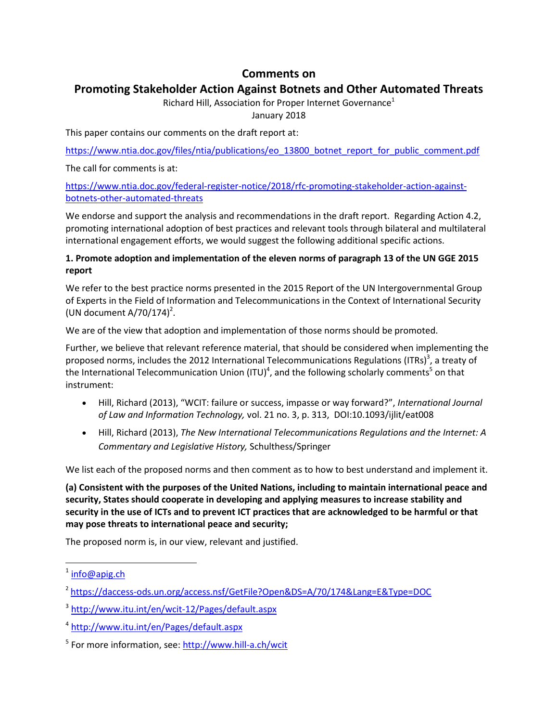# **Comments on**

# **Promoting Stakeholder Action Against Botnets and Other Automated Threats**

Richard Hill, Association for Proper Internet Governance<sup>1</sup>

January 2018

This paper contains our comments on the draft report at:

[https://www.ntia.doc.gov/files/ntia/publications/eo\\_13800\\_botnet\\_report\\_for\\_public\\_comment.pdf](https://www.ntia.doc.gov/files/ntia/publications/eo_13800_botnet_report_for_public_comment.pdf)

The call for comments is at:

[https://www.ntia.doc.gov/federal-register-notice/2018/rfc-promoting-stakeholder-action-against](https://www.ntia.doc.gov/federal-register-notice/2018/rfc-promoting-stakeholder-action-against-botnets-other-automated-threats)[botnets-other-automated-threats](https://www.ntia.doc.gov/federal-register-notice/2018/rfc-promoting-stakeholder-action-against-botnets-other-automated-threats)

We endorse and support the analysis and recommendations in the draft report. Regarding Action 4.2, promoting international adoption of best practices and relevant tools through bilateral and multilateral international engagement efforts, we would suggest the following additional specific actions.

## **1. Promote adoption and implementation of the eleven norms of paragraph 13 of the UN GGE 2015 report**

We refer to the best practice norms presented in the 2015 Report of the UN Intergovernmental Group of Experts in the Field of Information and Telecommunications in the Context of International Security (UN document  $A/70/174$ )<sup>2</sup>.

We are of the view that adoption and implementation of those norms should be promoted.

Further, we believe that relevant reference material, that should be considered when implementing the proposed norms, includes the 2012 International Telecommunications Regulations (ITRs)<sup>3</sup>, a treaty of the International Telecommunication Union (ITU)<sup>4</sup>, and the following scholarly comments<sup>5</sup> on that instrument:

- Hill, Richard (2013), "WCIT: failure or success, impasse or way forward?", *International Journal of Law and Information Technology,* vol. 21 no. 3, p. 313, DOI:10.1093/ijlit/eat008
- Hill, Richard (2013), *The New International Telecommunications Regulations and the Internet: A Commentary and Legislative History,* Schulthess/Springer

We list each of the proposed norms and then comment as to how to best understand and implement it.

**(a) Consistent with the purposes of the United Nations, including to maintain international peace and security, States should cooperate in developing and applying measures to increase stability and security in the use of ICTs and to prevent ICT practices that are acknowledged to be harmful or that may pose threats to international peace and security;**

The proposed norm is, in our view, relevant and justified.

l

<sup>&</sup>lt;sup>1</sup> [info@apig.ch](mailto:info@apig.ch)

<sup>2</sup> <https://daccess-ods.un.org/access.nsf/GetFile?Open&DS=A/70/174&Lang=E&Type=DOC>

<sup>3</sup> <http://www.itu.int/en/wcit-12/Pages/default.aspx>

<sup>4</sup> <http://www.itu.int/en/Pages/default.aspx>

<sup>&</sup>lt;sup>5</sup> For more information, see: **http://www.hill-a.ch/wcit**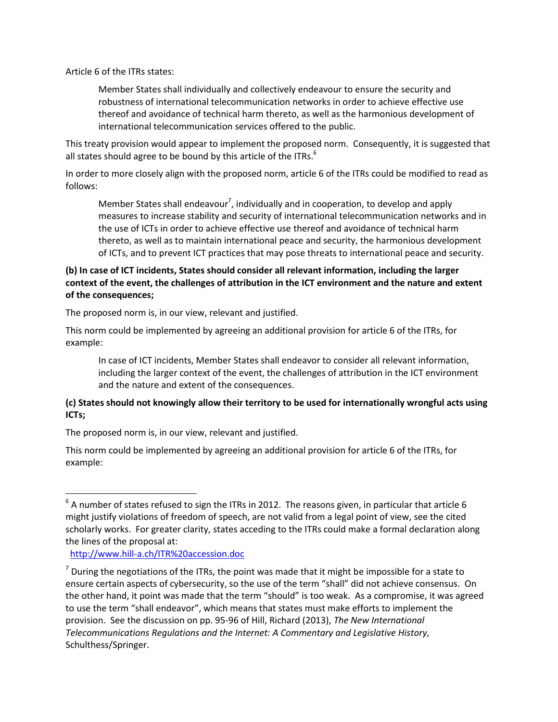Article 6 of the ITRs states:

Member States shall individually and collectively endeavour to ensure the security and robustness of international telecommunication networks in order to achieve effective use thereof and avoidance of technical harm thereto, as well as the harmonious development of international telecommunication services offered to the public.

This treaty provision would appear to implement the proposed norm. Consequently, it is suggested that all states should agree to be bound by this article of the ITRs. $<sup>6</sup>$ </sup>

In order to more closely align with the proposed norm, article 6 of the ITRs could be modified to read as follows:

Member States shall endeavour<sup>7</sup>, individually and in cooperation, to develop and apply measures to increase stability and security of international telecommunication networks and in the use of ICTs in order to achieve effective use thereof and avoidance of technical harm thereto, as well as to maintain international peace and security, the harmonious development of ICTs, and to prevent ICT practices that may pose threats to international peace and security.

### **(b) In case of ICT incidents, States should consider all relevant information, including the larger context of the event, the challenges of attribution in the ICT environment and the nature and extent of the consequences;**

The proposed norm is, in our view, relevant and justified.

This norm could be implemented by agreeing an additional provision for article 6 of the ITRs, for example:

In case of ICT incidents, Member States shall endeavor to consider all relevant information, including the larger context of the event, the challenges of attribution in the ICT environment and the nature and extent of the consequences.

### **(c) States should not knowingly allow their territory to be used for internationally wrongful acts using ICTs;**

The proposed norm is, in our view, relevant and justified.

This norm could be implemented by agreeing an additional provision for article 6 of the ITRs, for example:

#### <http://www.hill-a.ch/ITR%20accession.doc>

 $\overline{\phantom{a}}$ 

 $^6$  A number of states refused to sign the ITRs in 2012. The reasons given, in particular that article 6 might justify violations of freedom of speech, are not valid from a legal point of view, see the cited scholarly works. For greater clarity, states acceding to the ITRs could make a formal declaration along the lines of the proposal at:

 $<sup>7</sup>$  During the negotiations of the ITRs, the point was made that it might be impossible for a state to</sup> ensure certain aspects of cybersecurity, so the use of the term "shall" did not achieve consensus. On the other hand, it point was made that the term "should" is too weak. As a compromise, it was agreed to use the term "shall endeavor", which means that states must make efforts to implement the provision. See the discussion on pp. 95-96 of Hill, Richard (2013), *The New International Telecommunications Regulations and the Internet: A Commentary and Legislative History,* Schulthess/Springer.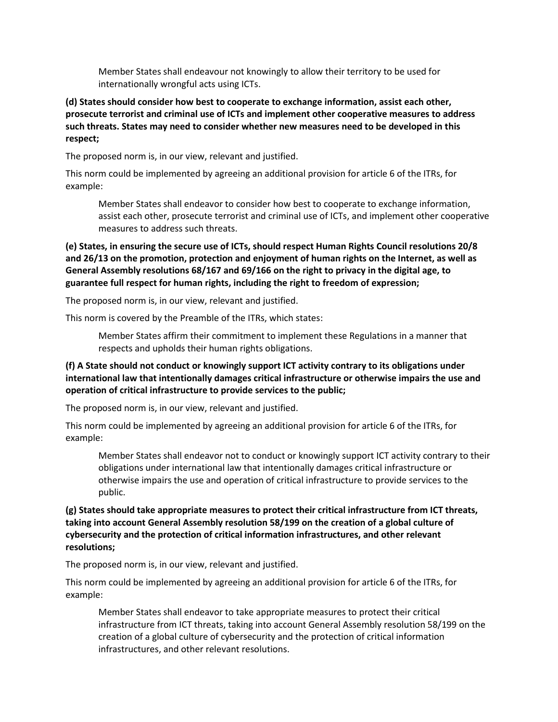Member States shall endeavour not knowingly to allow their territory to be used for internationally wrongful acts using ICTs.

#### **(d) States should consider how best to cooperate to exchange information, assist each other, prosecute terrorist and criminal use of ICTs and implement other cooperative measures to address such threats. States may need to consider whether new measures need to be developed in this respect;**

The proposed norm is, in our view, relevant and justified.

This norm could be implemented by agreeing an additional provision for article 6 of the ITRs, for example:

Member States shall endeavor to consider how best to cooperate to exchange information, assist each other, prosecute terrorist and criminal use of ICTs, and implement other cooperative measures to address such threats.

**(e) States, in ensuring the secure use of ICTs, should respect Human Rights Council resolutions 20/8 and 26/13 on the promotion, protection and enjoyment of human rights on the Internet, as well as General Assembly resolutions 68/167 and 69/166 on the right to privacy in the digital age, to guarantee full respect for human rights, including the right to freedom of expression;**

The proposed norm is, in our view, relevant and justified.

This norm is covered by the Preamble of the ITRs, which states:

Member States affirm their commitment to implement these Regulations in a manner that respects and upholds their human rights obligations.

### **(f) A State should not conduct or knowingly support ICT activity contrary to its obligations under international law that intentionally damages critical infrastructure or otherwise impairs the use and operation of critical infrastructure to provide services to the public;**

The proposed norm is, in our view, relevant and justified.

This norm could be implemented by agreeing an additional provision for article 6 of the ITRs, for example:

Member States shall endeavor not to conduct or knowingly support ICT activity contrary to their obligations under international law that intentionally damages critical infrastructure or otherwise impairs the use and operation of critical infrastructure to provide services to the public.

**(g) States should take appropriate measures to protect their critical infrastructure from ICT threats, taking into account General Assembly resolution 58/199 on the creation of a global culture of cybersecurity and the protection of critical information infrastructures, and other relevant resolutions;**

The proposed norm is, in our view, relevant and justified.

This norm could be implemented by agreeing an additional provision for article 6 of the ITRs, for example:

Member States shall endeavor to take appropriate measures to protect their critical infrastructure from ICT threats, taking into account General Assembly resolution 58/199 on the creation of a global culture of cybersecurity and the protection of critical information infrastructures, and other relevant resolutions.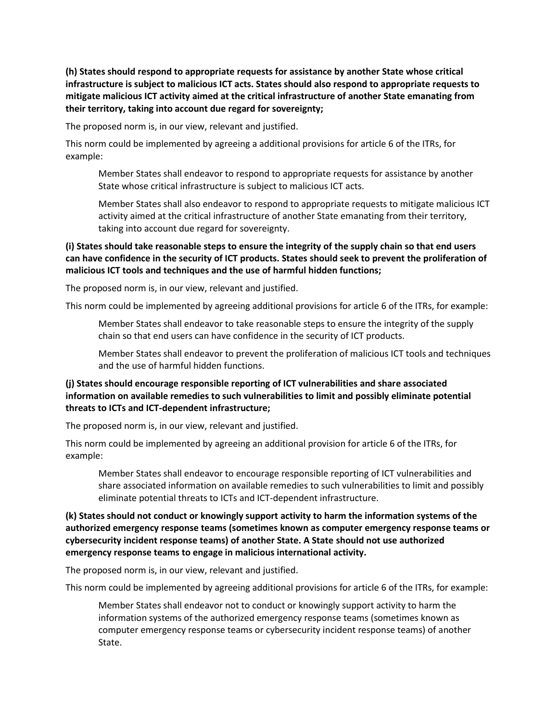**(h) States should respond to appropriate requests for assistance by another State whose critical infrastructure is subject to malicious ICT acts. States should also respond to appropriate requests to mitigate malicious ICT activity aimed at the critical infrastructure of another State emanating from their territory, taking into account due regard for sovereignty;**

The proposed norm is, in our view, relevant and justified.

This norm could be implemented by agreeing a additional provisions for article 6 of the ITRs, for example:

Member States shall endeavor to respond to appropriate requests for assistance by another State whose critical infrastructure is subject to malicious ICT acts.

Member States shall also endeavor to respond to appropriate requests to mitigate malicious ICT activity aimed at the critical infrastructure of another State emanating from their territory, taking into account due regard for sovereignty.

### **(i) States should take reasonable steps to ensure the integrity of the supply chain so that end users can have confidence in the security of ICT products. States should seek to prevent the proliferation of malicious ICT tools and techniques and the use of harmful hidden functions;**

The proposed norm is, in our view, relevant and justified.

This norm could be implemented by agreeing additional provisions for article 6 of the ITRs, for example:

Member States shall endeavor to take reasonable steps to ensure the integrity of the supply chain so that end users can have confidence in the security of ICT products.

Member States shall endeavor to prevent the proliferation of malicious ICT tools and techniques and the use of harmful hidden functions.

### **(j) States should encourage responsible reporting of ICT vulnerabilities and share associated information on available remedies to such vulnerabilities to limit and possibly eliminate potential threats to ICTs and ICT-dependent infrastructure;**

The proposed norm is, in our view, relevant and justified.

This norm could be implemented by agreeing an additional provision for article 6 of the ITRs, for example:

Member States shall endeavor to encourage responsible reporting of ICT vulnerabilities and share associated information on available remedies to such vulnerabilities to limit and possibly eliminate potential threats to ICTs and ICT-dependent infrastructure.

### **(k) States should not conduct or knowingly support activity to harm the information systems of the authorized emergency response teams (sometimes known as computer emergency response teams or cybersecurity incident response teams) of another State. A State should not use authorized emergency response teams to engage in malicious international activity.**

The proposed norm is, in our view, relevant and justified.

This norm could be implemented by agreeing additional provisions for article 6 of the ITRs, for example:

Member States shall endeavor not to conduct or knowingly support activity to harm the information systems of the authorized emergency response teams (sometimes known as computer emergency response teams or cybersecurity incident response teams) of another State.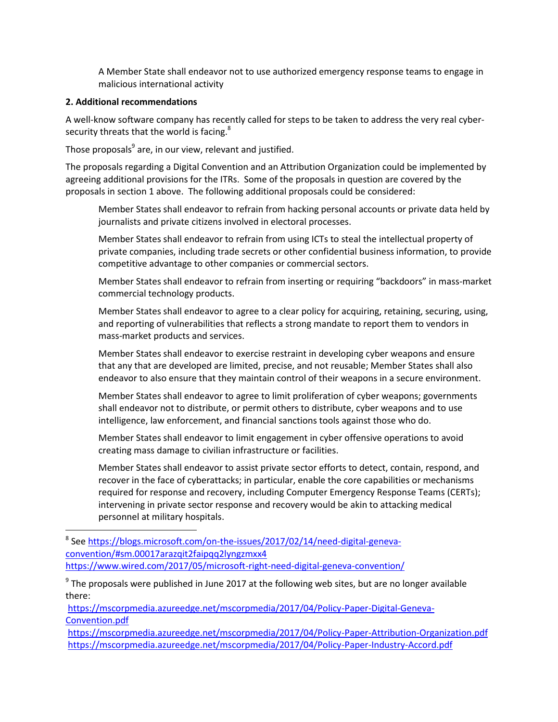A Member State shall endeavor not to use authorized emergency response teams to engage in malicious international activity

#### **2. Additional recommendations**

 $\overline{a}$ 

A well-know software company has recently called for steps to be taken to address the very real cybersecurity threats that the world is facing.<sup>8</sup>

Those proposals<sup>9</sup> are, in our view, relevant and justified.

The proposals regarding a Digital Convention and an Attribution Organization could be implemented by agreeing additional provisions for the ITRs. Some of the proposals in question are covered by the proposals in section 1 above. The following additional proposals could be considered:

Member States shall endeavor to refrain from hacking personal accounts or private data held by journalists and private citizens involved in electoral processes.

Member States shall endeavor to refrain from using ICTs to steal the intellectual property of private companies, including trade secrets or other confidential business information, to provide competitive advantage to other companies or commercial sectors.

Member States shall endeavor to refrain from inserting or requiring "backdoors" in mass-market commercial technology products.

Member States shall endeavor to agree to a clear policy for acquiring, retaining, securing, using, and reporting of vulnerabilities that reflects a strong mandate to report them to vendors in mass-market products and services.

Member States shall endeavor to exercise restraint in developing cyber weapons and ensure that any that are developed are limited, precise, and not reusable; Member States shall also endeavor to also ensure that they maintain control of their weapons in a secure environment.

Member States shall endeavor to agree to limit proliferation of cyber weapons; governments shall endeavor not to distribute, or permit others to distribute, cyber weapons and to use intelligence, law enforcement, and financial sanctions tools against those who do.

Member States shall endeavor to limit engagement in cyber offensive operations to avoid creating mass damage to civilian infrastructure or facilities.

Member States shall endeavor to assist private sector efforts to detect, contain, respond, and recover in the face of cyberattacks; in particular, enable the core capabilities or mechanisms required for response and recovery, including Computer Emergency Response Teams (CERTs); intervening in private sector response and recovery would be akin to attacking medical personnel at military hospitals.

<sup>8</sup> Se[e https://blogs.microsoft.com/on-the-issues/2017/02/14/need-digital-geneva](https://blogs.microsoft.com/on-the-issues/2017/02/14/need-digital-geneva-convention/#sm.00017arazqit2faipqq2lyngzmxx4)[convention/#sm.00017arazqit2faipqq2lyngzmxx4](https://blogs.microsoft.com/on-the-issues/2017/02/14/need-digital-geneva-convention/#sm.00017arazqit2faipqq2lyngzmxx4) <https://www.wired.com/2017/05/microsoft-right-need-digital-geneva-convention/>

 $9$  The proposals were published in June 2017 at the following web sites, but are no longer available there:

[https://mscorpmedia.azureedge.net/mscorpmedia/2017/04/Policy-Paper-Digital-Geneva-](https://mscorpmedia.azureedge.net/mscorpmedia/2017/04/Policy-Paper-Digital-Geneva-Convention.pdf)[Convention.pdf](https://mscorpmedia.azureedge.net/mscorpmedia/2017/04/Policy-Paper-Digital-Geneva-Convention.pdf)

<https://mscorpmedia.azureedge.net/mscorpmedia/2017/04/Policy-Paper-Attribution-Organization.pdf> <https://mscorpmedia.azureedge.net/mscorpmedia/2017/04/Policy-Paper-Industry-Accord.pdf>